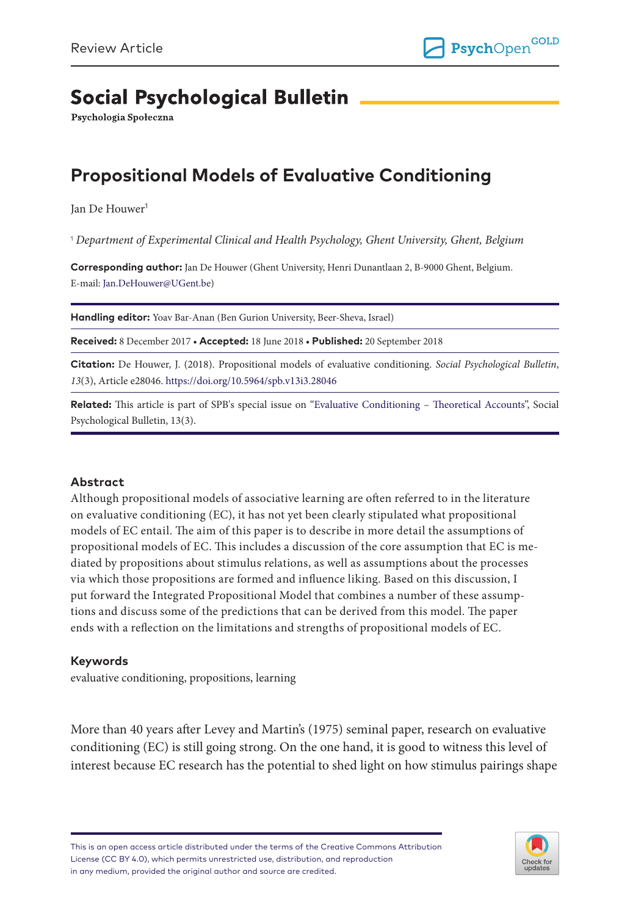# **Social Psychological Bulletin**

Psychologia Społeczna

## **Propositional Models of Evaluative Conditioning**

Jan De Houwer<sup>1</sup>

1  *Department of Experimental Clinical and Health Psychology, Ghent University, Ghent, Belgium*

**Corresponding author:** Jan De Houwer (Ghent University, Henri Dunantlaan 2, B-9000 Ghent, Belgium. E-mail: [Jan.DeHouwer@UGent.be\)](mailto:Jan.DeHouwer@UGent.be)

**Handling editor:** Yoav Bar-Anan (Ben Gurion University, Beer-Sheva, Israel)

**Received:** 8 December 2017 • **Accepted:** 18 June 2018 • **Published:** 20 September 2018

**Citation:** De Houwer, J. (2018). Propositional models of evaluative conditioning. *Social Psychological Bulletin*, *13*(3), Article e28046.<https://doi.org/10.5964/spb.v13i3.28046>

**Related:** This article is part of SPB's special issue on ["Evaluative Conditioning – Theoretical Accounts"](https://spb.psychopen.eu/issue/1338/), Social Psychological Bulletin, 13(3).

#### **Abstract**

Although propositional models of associative learning are often referred to in the literature on evaluative conditioning (EC), it has not yet been clearly stipulated what propositional models of EC entail. The aim of this paper is to describe in more detail the assumptions of propositional models of EC. This includes a discussion of the core assumption that EC is mediated by propositions about stimulus relations, as well as assumptions about the processes via which those propositions are formed and influence liking. Based on this discussion, I put forward the Integrated Propositional Model that combines a number of these assumptions and discuss some of the predictions that can be derived from this model. The paper ends with a reflection on the limitations and strengths of propositional models of EC.

#### **Keywords**

evaluative conditioning, propositions, learning

More than 40 years after Levey and Martin's (1975) seminal paper, research on evaluative conditioning (EC) is still going strong. On the one hand, it is good to witness this level of interest because EC research has the potential to shed light on how stimulus pairings shape

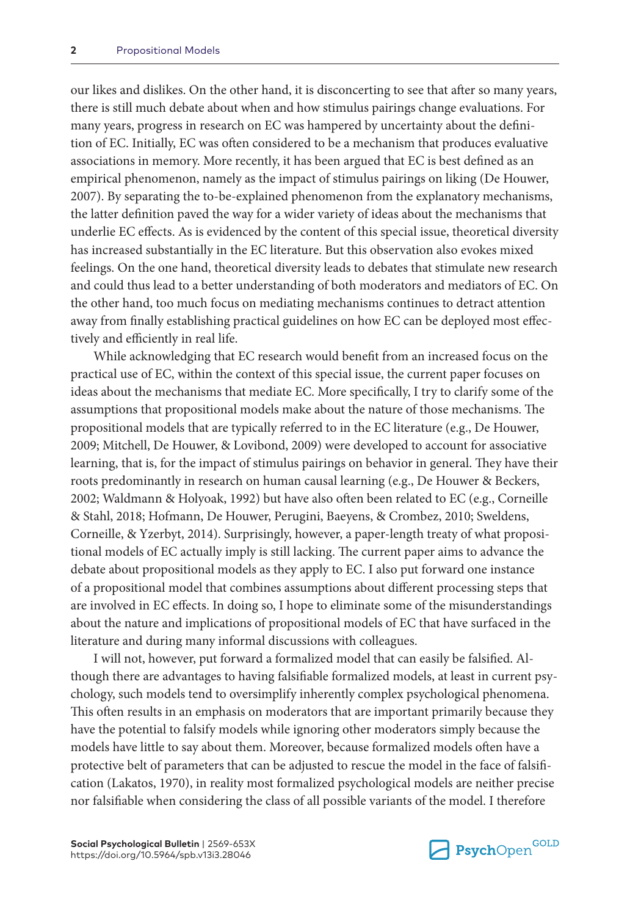our likes and dislikes. On the other hand, it is disconcerting to see that after so many years, there is still much debate about when and how stimulus pairings change evaluations. For many years, progress in research on EC was hampered by uncertainty about the definition of EC. Initially, EC was often considered to be a mechanism that produces evaluative associations in memory. More recently, it has been argued that EC is best defined as an empirical phenomenon, namely as the impact of stimulus pairings on liking (De Houwer, 2007). By separating the to-be-explained phenomenon from the explanatory mechanisms, the latter definition paved the way for a wider variety of ideas about the mechanisms that underlie EC effects. As is evidenced by the content of this special issue, theoretical diversity has increased substantially in the EC literature. But this observation also evokes mixed feelings. On the one hand, theoretical diversity leads to debates that stimulate new research and could thus lead to a better understanding of both moderators and mediators of EC. On the other hand, too much focus on mediating mechanisms continues to detract attention away from finally establishing practical guidelines on how EC can be deployed most effectively and efficiently in real life.

While acknowledging that EC research would benefit from an increased focus on the practical use of EC, within the context of this special issue, the current paper focuses on ideas about the mechanisms that mediate EC. More specifically, I try to clarify some of the assumptions that propositional models make about the nature of those mechanisms. The propositional models that are typically referred to in the EC literature (e.g., De Houwer, 2009; Mitchell, De Houwer, & Lovibond, 2009) were developed to account for associative learning, that is, for the impact of stimulus pairings on behavior in general. They have their roots predominantly in research on human causal learning (e.g., De Houwer & Beckers, 2002; Waldmann & Holyoak, 1992) but have also often been related to EC (e.g., Corneille & Stahl, 2018; Hofmann, De Houwer, Perugini, Baeyens, & Crombez, 2010; Sweldens, Corneille, & Yzerbyt, 2014). Surprisingly, however, a paper-length treaty of what propositional models of EC actually imply is still lacking. The current paper aims to advance the debate about propositional models as they apply to EC. I also put forward one instance of a propositional model that combines assumptions about different processing steps that are involved in EC effects. In doing so, I hope to eliminate some of the misunderstandings about the nature and implications of propositional models of EC that have surfaced in the literature and during many informal discussions with colleagues.

I will not, however, put forward a formalized model that can easily be falsified. Although there are advantages to having falsifiable formalized models, at least in current psychology, such models tend to oversimplify inherently complex psychological phenomena. This often results in an emphasis on moderators that are important primarily because they have the potential to falsify models while ignoring other moderators simply because the models have little to say about them. Moreover, because formalized models often have a protective belt of parameters that can be adjusted to rescue the model in the face of falsification (Lakatos, 1970), in reality most formalized psychological models are neither precise nor falsifiable when considering the class of all possible variants of the model. I therefore

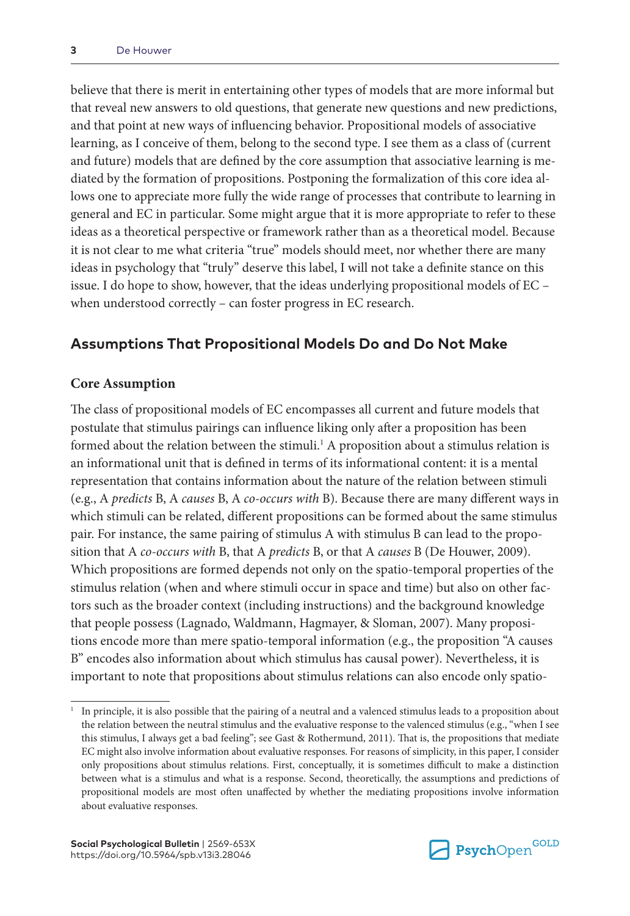believe that there is merit in entertaining other types of models that are more informal but that reveal new answers to old questions, that generate new questions and new predictions, and that point at new ways of influencing behavior. Propositional models of associative learning, as I conceive of them, belong to the second type. I see them as a class of (current and future) models that are defined by the core assumption that associative learning is mediated by the formation of propositions. Postponing the formalization of this core idea allows one to appreciate more fully the wide range of processes that contribute to learning in general and EC in particular. Some might argue that it is more appropriate to refer to these ideas as a theoretical perspective or framework rather than as a theoretical model. Because it is not clear to me what criteria "true" models should meet, nor whether there are many ideas in psychology that "truly" deserve this label, I will not take a definite stance on this issue. I do hope to show, however, that the ideas underlying propositional models of EC – when understood correctly – can foster progress in EC research.

## **Assumptions That Propositional Models Do and Do Not Make**

#### **Core Assumption**

The class of propositional models of EC encompasses all current and future models that postulate that stimulus pairings can influence liking only after a proposition has been formed about the relation between the stimuli.<sup>1</sup> A proposition about a stimulus relation is an informational unit that is defined in terms of its informational content: it is a mental representation that contains information about the nature of the relation between stimuli (e.g., A *predicts* B, A *causes* B, A *co-occurs with* B). Because there are many different ways in which stimuli can be related, different propositions can be formed about the same stimulus pair. For instance, the same pairing of stimulus A with stimulus B can lead to the proposition that A *co-occurs with* B, that A *predicts* B, or that A *causes* B (De Houwer, 2009). Which propositions are formed depends not only on the spatio-temporal properties of the stimulus relation (when and where stimuli occur in space and time) but also on other factors such as the broader context (including instructions) and the background knowledge that people possess (Lagnado, Waldmann, Hagmayer, & Sloman, 2007). Many propositions encode more than mere spatio-temporal information (e.g., the proposition "A causes B" encodes also information about which stimulus has causal power). Nevertheless, it is important to note that propositions about stimulus relations can also encode only spatio-



<sup>1</sup> In principle, it is also possible that the pairing of a neutral and a valenced stimulus leads to a proposition about the relation between the neutral stimulus and the evaluative response to the valenced stimulus (e.g., "when I see this stimulus, I always get a bad feeling"; see Gast & Rothermund, 2011). That is, the propositions that mediate EC might also involve information about evaluative responses. For reasons of simplicity, in this paper, I consider only propositions about stimulus relations. First, conceptually, it is sometimes difficult to make a distinction between what is a stimulus and what is a response. Second, theoretically, the assumptions and predictions of propositional models are most often unaffected by whether the mediating propositions involve information about evaluative responses.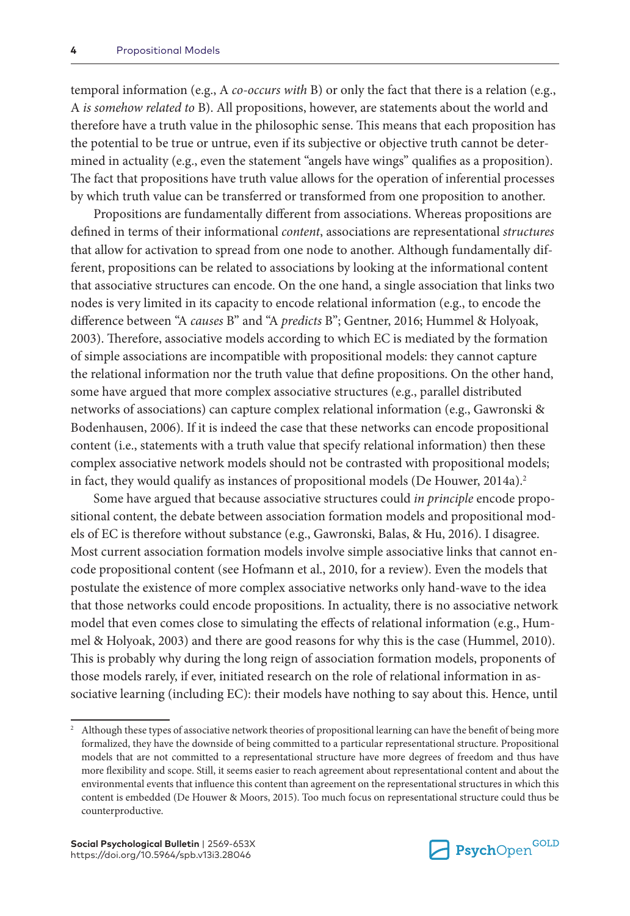temporal information (e.g., A *co-occurs with* B) or only the fact that there is a relation (e.g., A *is somehow related to* B). All propositions, however, are statements about the world and therefore have a truth value in the philosophic sense. This means that each proposition has the potential to be true or untrue, even if its subjective or objective truth cannot be determined in actuality (e.g., even the statement "angels have wings" qualifies as a proposition). The fact that propositions have truth value allows for the operation of inferential processes by which truth value can be transferred or transformed from one proposition to another.

Propositions are fundamentally different from associations. Whereas propositions are defined in terms of their informational *content*, associations are representational *structures* that allow for activation to spread from one node to another. Although fundamentally different, propositions can be related to associations by looking at the informational content that associative structures can encode. On the one hand, a single association that links two nodes is very limited in its capacity to encode relational information (e.g., to encode the difference between "A *causes* B" and "A *predicts* B"; Gentner, 2016; Hummel & Holyoak, 2003). Therefore, associative models according to which EC is mediated by the formation of simple associations are incompatible with propositional models: they cannot capture the relational information nor the truth value that define propositions. On the other hand, some have argued that more complex associative structures (e.g., parallel distributed networks of associations) can capture complex relational information (e.g., Gawronski & Bodenhausen, 2006). If it is indeed the case that these networks can encode propositional content (i.e., statements with a truth value that specify relational information) then these complex associative network models should not be contrasted with propositional models; in fact, they would qualify as instances of propositional models (De Houwer, 2014a).<sup>2</sup>

Some have argued that because associative structures could *in principle* encode propositional content, the debate between association formation models and propositional models of EC is therefore without substance (e.g., Gawronski, Balas, & Hu, 2016). I disagree. Most current association formation models involve simple associative links that cannot encode propositional content (see Hofmann et al., 2010, for a review). Even the models that postulate the existence of more complex associative networks only hand-wave to the idea that those networks could encode propositions. In actuality, there is no associative network model that even comes close to simulating the effects of relational information (e.g., Hummel & Holyoak, 2003) and there are good reasons for why this is the case (Hummel, 2010). This is probably why during the long reign of association formation models, proponents of those models rarely, if ever, initiated research on the role of relational information in associative learning (including EC): their models have nothing to say about this. Hence, until



<sup>2</sup> Although these types of associative network theories of propositional learning can have the benefit of being more formalized, they have the downside of being committed to a particular representational structure. Propositional models that are not committed to a representational structure have more degrees of freedom and thus have more flexibility and scope. Still, it seems easier to reach agreement about representational content and about the environmental events that influence this content than agreement on the representational structures in which this content is embedded (De Houwer & Moors, 2015). Too much focus on representational structure could thus be counterproductive.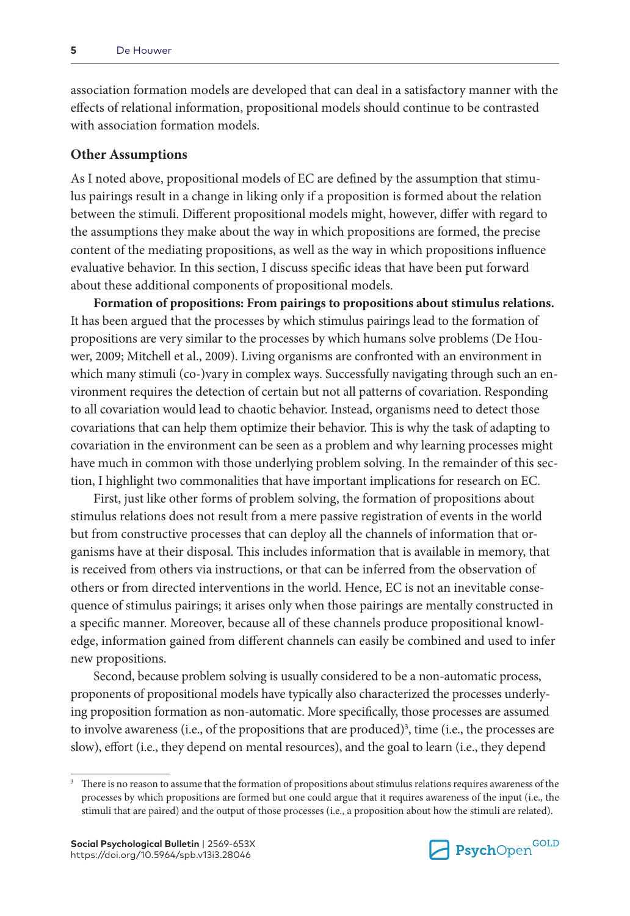association formation models are developed that can deal in a satisfactory manner with the effects of relational information, propositional models should continue to be contrasted with association formation models.

#### **Other Assumptions**

As I noted above, propositional models of EC are defined by the assumption that stimulus pairings result in a change in liking only if a proposition is formed about the relation between the stimuli. Different propositional models might, however, differ with regard to the assumptions they make about the way in which propositions are formed, the precise content of the mediating propositions, as well as the way in which propositions influence evaluative behavior. In this section, I discuss specific ideas that have been put forward about these additional components of propositional models.

**Formation of propositions: From pairings to propositions about stimulus relations.** It has been argued that the processes by which stimulus pairings lead to the formation of propositions are very similar to the processes by which humans solve problems (De Houwer, 2009; Mitchell et al., 2009). Living organisms are confronted with an environment in which many stimuli (co-)vary in complex ways. Successfully navigating through such an environment requires the detection of certain but not all patterns of covariation. Responding to all covariation would lead to chaotic behavior. Instead, organisms need to detect those covariations that can help them optimize their behavior. This is why the task of adapting to covariation in the environment can be seen as a problem and why learning processes might have much in common with those underlying problem solving. In the remainder of this section, I highlight two commonalities that have important implications for research on EC.

First, just like other forms of problem solving, the formation of propositions about stimulus relations does not result from a mere passive registration of events in the world but from constructive processes that can deploy all the channels of information that organisms have at their disposal. This includes information that is available in memory, that is received from others via instructions, or that can be inferred from the observation of others or from directed interventions in the world. Hence, EC is not an inevitable consequence of stimulus pairings; it arises only when those pairings are mentally constructed in a specific manner. Moreover, because all of these channels produce propositional knowledge, information gained from different channels can easily be combined and used to infer new propositions.

Second, because problem solving is usually considered to be a non-automatic process, proponents of propositional models have typically also characterized the processes underlying proposition formation as non-automatic. More specifically, those processes are assumed to involve awareness (i.e., of the propositions that are produced)<sup>3</sup>, time (i.e., the processes are slow), effort (i.e., they depend on mental resources), and the goal to learn (i.e., they depend



<sup>&</sup>lt;sup>3</sup> There is no reason to assume that the formation of propositions about stimulus relations requires awareness of the processes by which propositions are formed but one could argue that it requires awareness of the input (i.e., the stimuli that are paired) and the output of those processes (i.e., a proposition about how the stimuli are related).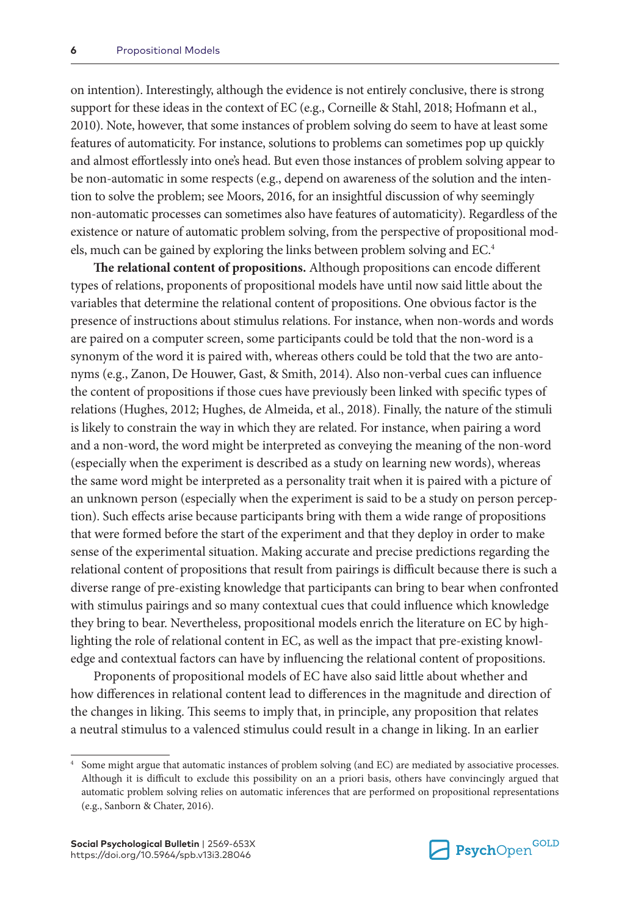on intention). Interestingly, although the evidence is not entirely conclusive, there is strong support for these ideas in the context of EC (e.g., Corneille & Stahl, 2018; Hofmann et al., 2010). Note, however, that some instances of problem solving do seem to have at least some features of automaticity. For instance, solutions to problems can sometimes pop up quickly and almost effortlessly into one's head. But even those instances of problem solving appear to be non-automatic in some respects (e.g., depend on awareness of the solution and the intention to solve the problem; see Moors, 2016, for an insightful discussion of why seemingly non-automatic processes can sometimes also have features of automaticity). Regardless of the existence or nature of automatic problem solving, from the perspective of propositional models, much can be gained by exploring the links between problem solving and EC.4

**The relational content of propositions.** Although propositions can encode different types of relations, proponents of propositional models have until now said little about the variables that determine the relational content of propositions. One obvious factor is the presence of instructions about stimulus relations. For instance, when non-words and words are paired on a computer screen, some participants could be told that the non-word is a synonym of the word it is paired with, whereas others could be told that the two are antonyms (e.g., Zanon, De Houwer, Gast, & Smith, 2014). Also non-verbal cues can influence the content of propositions if those cues have previously been linked with specific types of relations (Hughes, 2012; Hughes, de Almeida, et al., 2018). Finally, the nature of the stimuli is likely to constrain the way in which they are related. For instance, when pairing a word and a non-word, the word might be interpreted as conveying the meaning of the non-word (especially when the experiment is described as a study on learning new words), whereas the same word might be interpreted as a personality trait when it is paired with a picture of an unknown person (especially when the experiment is said to be a study on person perception). Such effects arise because participants bring with them a wide range of propositions that were formed before the start of the experiment and that they deploy in order to make sense of the experimental situation. Making accurate and precise predictions regarding the relational content of propositions that result from pairings is difficult because there is such a diverse range of pre-existing knowledge that participants can bring to bear when confronted with stimulus pairings and so many contextual cues that could influence which knowledge they bring to bear. Nevertheless, propositional models enrich the literature on EC by highlighting the role of relational content in EC, as well as the impact that pre-existing knowledge and contextual factors can have by influencing the relational content of propositions.

Proponents of propositional models of EC have also said little about whether and how differences in relational content lead to differences in the magnitude and direction of the changes in liking. This seems to imply that, in principle, any proposition that relates a neutral stimulus to a valenced stimulus could result in a change in liking. In an earlier



Some might argue that automatic instances of problem solving (and EC) are mediated by associative processes. Although it is difficult to exclude this possibility on an a priori basis, others have convincingly argued that automatic problem solving relies on automatic inferences that are performed on propositional representations (e.g., Sanborn & Chater, 2016).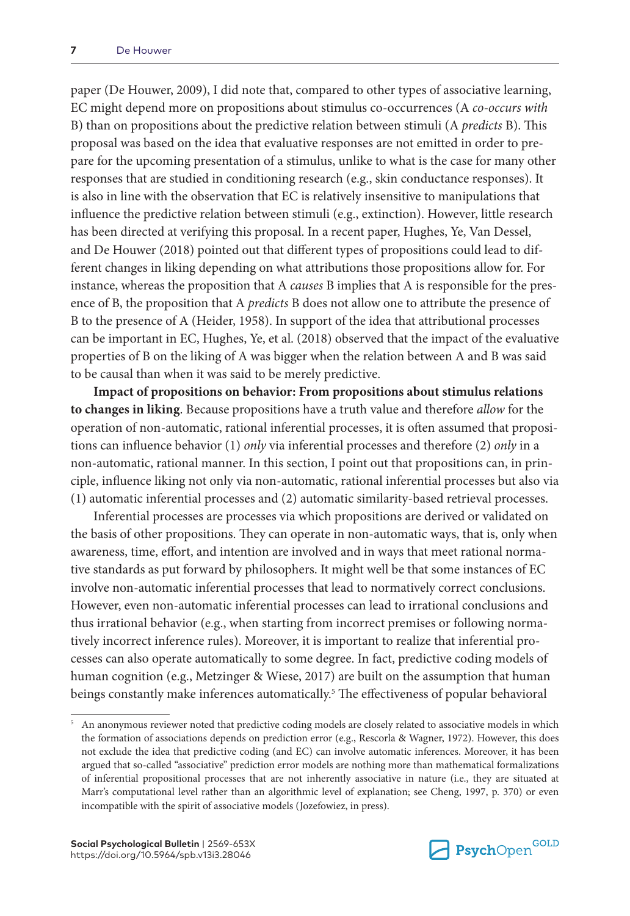paper (De Houwer, 2009), I did note that, compared to other types of associative learning, EC might depend more on propositions about stimulus co-occurrences (A *co-occurs with* B) than on propositions about the predictive relation between stimuli (A *predicts* B). This proposal was based on the idea that evaluative responses are not emitted in order to prepare for the upcoming presentation of a stimulus, unlike to what is the case for many other responses that are studied in conditioning research (e.g., skin conductance responses). It is also in line with the observation that EC is relatively insensitive to manipulations that influence the predictive relation between stimuli (e.g., extinction). However, little research has been directed at verifying this proposal. In a recent paper, Hughes, Ye, Van Dessel, and De Houwer (2018) pointed out that different types of propositions could lead to different changes in liking depending on what attributions those propositions allow for. For instance, whereas the proposition that A *causes* B implies that A is responsible for the presence of B, the proposition that A *predicts* B does not allow one to attribute the presence of B to the presence of A (Heider, 1958). In support of the idea that attributional processes can be important in EC, Hughes, Ye, et al. (2018) observed that the impact of the evaluative properties of B on the liking of A was bigger when the relation between A and B was said to be causal than when it was said to be merely predictive.

**Impact of propositions on behavior: From propositions about stimulus relations to changes in liking**. Because propositions have a truth value and therefore *allow* for the operation of non-automatic, rational inferential processes, it is often assumed that propositions can influence behavior (1) *only* via inferential processes and therefore (2) *only* in a non-automatic, rational manner. In this section, I point out that propositions can, in principle, influence liking not only via non-automatic, rational inferential processes but also via (1) automatic inferential processes and (2) automatic similarity-based retrieval processes.

Inferential processes are processes via which propositions are derived or validated on the basis of other propositions. They can operate in non-automatic ways, that is, only when awareness, time, effort, and intention are involved and in ways that meet rational normative standards as put forward by philosophers. It might well be that some instances of EC involve non-automatic inferential processes that lead to normatively correct conclusions. However, even non-automatic inferential processes can lead to irrational conclusions and thus irrational behavior (e.g., when starting from incorrect premises or following normatively incorrect inference rules). Moreover, it is important to realize that inferential processes can also operate automatically to some degree. In fact, predictive coding models of human cognition (e.g., Metzinger & Wiese, 2017) are built on the assumption that human beings constantly make inferences automatically.<sup>5</sup> The effectiveness of popular behavioral



<sup>5</sup> An anonymous reviewer noted that predictive coding models are closely related to associative models in which the formation of associations depends on prediction error (e.g., Rescorla & Wagner, 1972). However, this does not exclude the idea that predictive coding (and EC) can involve automatic inferences. Moreover, it has been argued that so-called "associative" prediction error models are nothing more than mathematical formalizations of inferential propositional processes that are not inherently associative in nature (i.e., they are situated at Marr's computational level rather than an algorithmic level of explanation; see Cheng, 1997, p. 370) or even incompatible with the spirit of associative models (Jozefowiez, in press).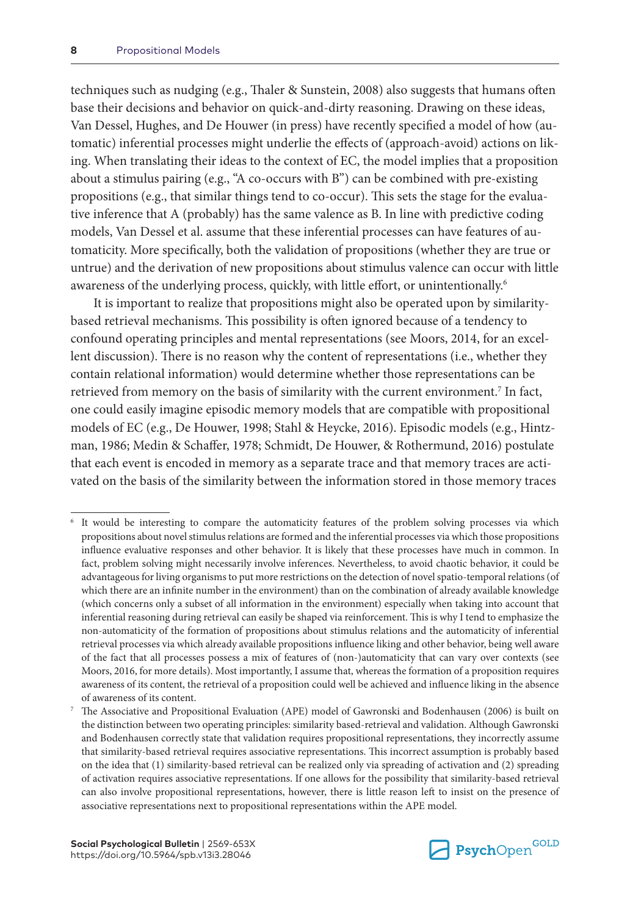techniques such as nudging (e.g., Thaler & Sunstein, 2008) also suggests that humans often base their decisions and behavior on quick-and-dirty reasoning. Drawing on these ideas, Van Dessel, Hughes, and De Houwer (in press) have recently specified a model of how (automatic) inferential processes might underlie the effects of (approach-avoid) actions on liking. When translating their ideas to the context of EC, the model implies that a proposition about a stimulus pairing (e.g., "A co-occurs with B") can be combined with pre-existing propositions (e.g., that similar things tend to co-occur). This sets the stage for the evaluative inference that A (probably) has the same valence as B. In line with predictive coding models, Van Dessel et al. assume that these inferential processes can have features of automaticity. More specifically, both the validation of propositions (whether they are true or untrue) and the derivation of new propositions about stimulus valence can occur with little awareness of the underlying process, quickly, with little effort, or unintentionally.<sup>6</sup>

It is important to realize that propositions might also be operated upon by similaritybased retrieval mechanisms. This possibility is often ignored because of a tendency to confound operating principles and mental representations (see Moors, 2014, for an excellent discussion). There is no reason why the content of representations (i.e., whether they contain relational information) would determine whether those representations can be retrieved from memory on the basis of similarity with the current environment.<sup>7</sup> In fact, one could easily imagine episodic memory models that are compatible with propositional models of EC (e.g., De Houwer, 1998; Stahl & Heycke, 2016). Episodic models (e.g., Hintzman, 1986; Medin & Schaffer, 1978; Schmidt, De Houwer, & Rothermund, 2016) postulate that each event is encoded in memory as a separate trace and that memory traces are activated on the basis of the similarity between the information stored in those memory traces



It would be interesting to compare the automaticity features of the problem solving processes via which propositions about novel stimulus relations are formed and the inferential processes via which those propositions influence evaluative responses and other behavior. It is likely that these processes have much in common. In fact, problem solving might necessarily involve inferences. Nevertheless, to avoid chaotic behavior, it could be advantageous for living organisms to put more restrictions on the detection of novel spatio-temporal relations (of which there are an infinite number in the environment) than on the combination of already available knowledge (which concerns only a subset of all information in the environment) especially when taking into account that inferential reasoning during retrieval can easily be shaped via reinforcement. This is why I tend to emphasize the non-automaticity of the formation of propositions about stimulus relations and the automaticity of inferential retrieval processes via which already available propositions influence liking and other behavior, being well aware of the fact that all processes possess a mix of features of (non-)automaticity that can vary over contexts (see Moors, 2016, for more details). Most importantly, I assume that, whereas the formation of a proposition requires awareness of its content, the retrieval of a proposition could well be achieved and influence liking in the absence of awareness of its content.

<sup>7</sup> The Associative and Propositional Evaluation (APE) model of Gawronski and Bodenhausen (2006) is built on the distinction between two operating principles: similarity based-retrieval and validation. Although Gawronski and Bodenhausen correctly state that validation requires propositional representations, they incorrectly assume that similarity-based retrieval requires associative representations. This incorrect assumption is probably based on the idea that (1) similarity-based retrieval can be realized only via spreading of activation and (2) spreading of activation requires associative representations. If one allows for the possibility that similarity-based retrieval can also involve propositional representations, however, there is little reason left to insist on the presence of associative representations next to propositional representations within the APE model.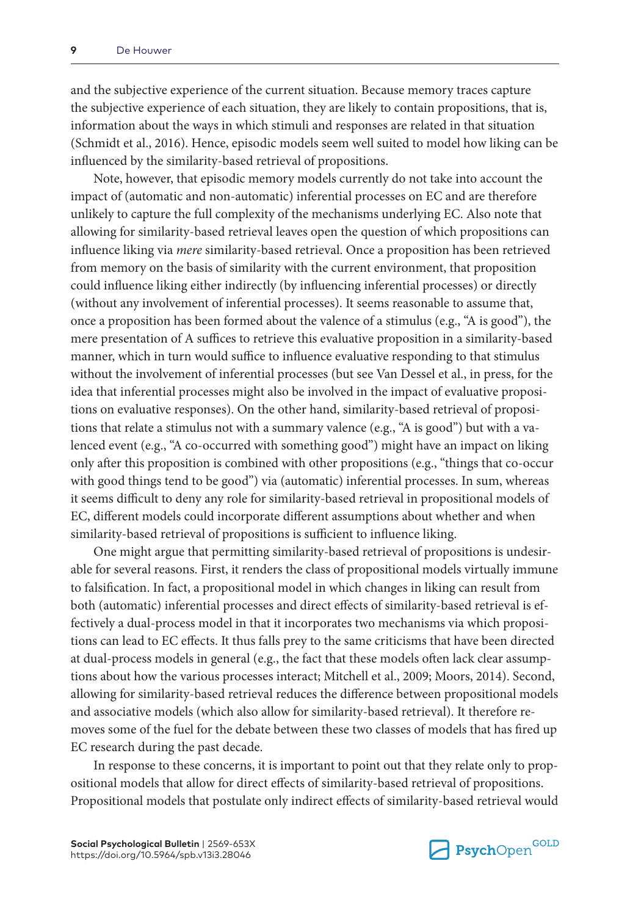and the subjective experience of the current situation. Because memory traces capture the subjective experience of each situation, they are likely to contain propositions, that is, information about the ways in which stimuli and responses are related in that situation (Schmidt et al., 2016). Hence, episodic models seem well suited to model how liking can be influenced by the similarity-based retrieval of propositions.

Note, however, that episodic memory models currently do not take into account the impact of (automatic and non-automatic) inferential processes on EC and are therefore unlikely to capture the full complexity of the mechanisms underlying EC. Also note that allowing for similarity-based retrieval leaves open the question of which propositions can influence liking via *mere* similarity-based retrieval. Once a proposition has been retrieved from memory on the basis of similarity with the current environment, that proposition could influence liking either indirectly (by influencing inferential processes) or directly (without any involvement of inferential processes). It seems reasonable to assume that, once a proposition has been formed about the valence of a stimulus (e.g., "A is good"), the mere presentation of A suffices to retrieve this evaluative proposition in a similarity-based manner, which in turn would suffice to influence evaluative responding to that stimulus without the involvement of inferential processes (but see Van Dessel et al., in press, for the idea that inferential processes might also be involved in the impact of evaluative propositions on evaluative responses). On the other hand, similarity-based retrieval of propositions that relate a stimulus not with a summary valence (e.g., "A is good") but with a valenced event (e.g., "A co-occurred with something good") might have an impact on liking only after this proposition is combined with other propositions (e.g., "things that co-occur with good things tend to be good") via (automatic) inferential processes. In sum, whereas it seems difficult to deny any role for similarity-based retrieval in propositional models of EC, different models could incorporate different assumptions about whether and when similarity-based retrieval of propositions is sufficient to influence liking.

One might argue that permitting similarity-based retrieval of propositions is undesirable for several reasons. First, it renders the class of propositional models virtually immune to falsification. In fact, a propositional model in which changes in liking can result from both (automatic) inferential processes and direct effects of similarity-based retrieval is effectively a dual-process model in that it incorporates two mechanisms via which propositions can lead to EC effects. It thus falls prey to the same criticisms that have been directed at dual-process models in general (e.g., the fact that these models often lack clear assumptions about how the various processes interact; Mitchell et al., 2009; Moors, 2014). Second, allowing for similarity-based retrieval reduces the difference between propositional models and associative models (which also allow for similarity-based retrieval). It therefore removes some of the fuel for the debate between these two classes of models that has fired up EC research during the past decade.

In response to these concerns, it is important to point out that they relate only to propositional models that allow for direct effects of similarity-based retrieval of propositions. Propositional models that postulate only indirect effects of similarity-based retrieval would

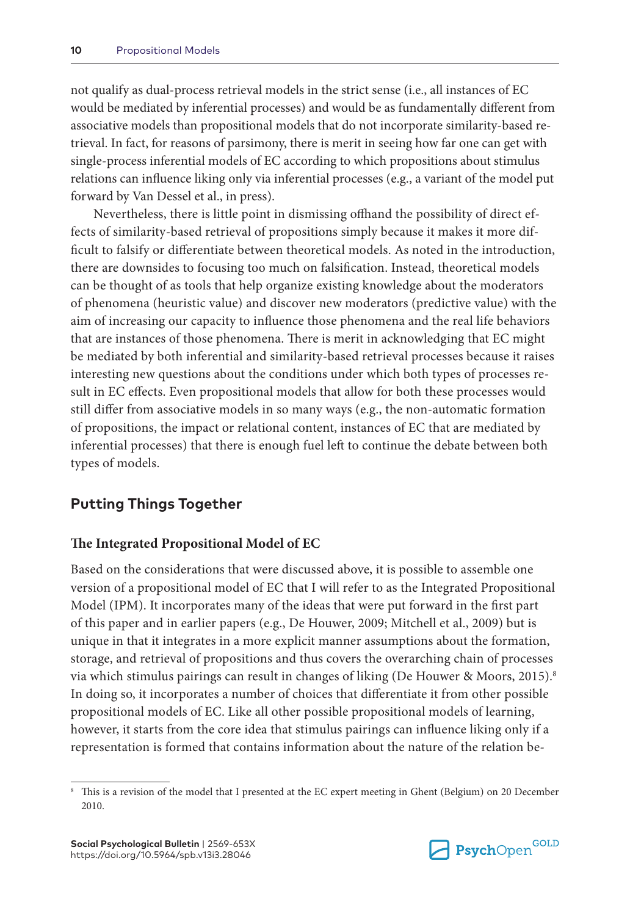not qualify as dual-process retrieval models in the strict sense (i.e., all instances of EC would be mediated by inferential processes) and would be as fundamentally different from associative models than propositional models that do not incorporate similarity-based retrieval. In fact, for reasons of parsimony, there is merit in seeing how far one can get with single-process inferential models of EC according to which propositions about stimulus relations can influence liking only via inferential processes (e.g., a variant of the model put forward by Van Dessel et al., in press).

Nevertheless, there is little point in dismissing offhand the possibility of direct effects of similarity-based retrieval of propositions simply because it makes it more difficult to falsify or differentiate between theoretical models. As noted in the introduction, there are downsides to focusing too much on falsification. Instead, theoretical models can be thought of as tools that help organize existing knowledge about the moderators of phenomena (heuristic value) and discover new moderators (predictive value) with the aim of increasing our capacity to influence those phenomena and the real life behaviors that are instances of those phenomena. There is merit in acknowledging that EC might be mediated by both inferential and similarity-based retrieval processes because it raises interesting new questions about the conditions under which both types of processes result in EC effects. Even propositional models that allow for both these processes would still differ from associative models in so many ways (e.g., the non-automatic formation of propositions, the impact or relational content, instances of EC that are mediated by inferential processes) that there is enough fuel left to continue the debate between both types of models.

#### **Putting Things Together**

#### **The Integrated Propositional Model of EC**

Based on the considerations that were discussed above, it is possible to assemble one version of a propositional model of EC that I will refer to as the Integrated Propositional Model (IPM). It incorporates many of the ideas that were put forward in the first part of this paper and in earlier papers (e.g., De Houwer, 2009; Mitchell et al., 2009) but is unique in that it integrates in a more explicit manner assumptions about the formation, storage, and retrieval of propositions and thus covers the overarching chain of processes via which stimulus pairings can result in changes of liking (De Houwer & Moors, 2015).8 In doing so, it incorporates a number of choices that differentiate it from other possible propositional models of EC. Like all other possible propositional models of learning, however, it starts from the core idea that stimulus pairings can influence liking only if a representation is formed that contains information about the nature of the relation be-



This is a revision of the model that I presented at the EC expert meeting in Ghent (Belgium) on 20 December 2010.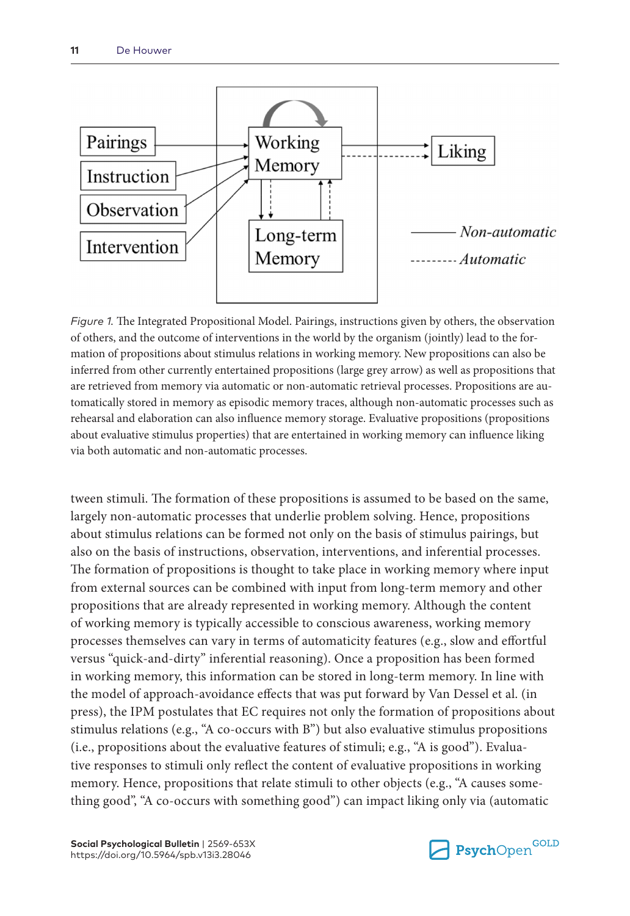

*Figure 1.* The Integrated Propositional Model. Pairings, instructions given by others, the observation of others, and the outcome of interventions in the world by the organism (jointly) lead to the formation of propositions about stimulus relations in working memory. New propositions can also be inferred from other currently entertained propositions (large grey arrow) as well as propositions that are retrieved from memory via automatic or non-automatic retrieval processes. Propositions are automatically stored in memory as episodic memory traces, although non-automatic processes such as rehearsal and elaboration can also influence memory storage. Evaluative propositions (propositions about evaluative stimulus properties) that are entertained in working memory can influence liking via both automatic and non-automatic processes.

tween stimuli. The formation of these propositions is assumed to be based on the same, largely non-automatic processes that underlie problem solving. Hence, propositions about stimulus relations can be formed not only on the basis of stimulus pairings, but also on the basis of instructions, observation, interventions, and inferential processes. The formation of propositions is thought to take place in working memory where input from external sources can be combined with input from long-term memory and other propositions that are already represented in working memory. Although the content of working memory is typically accessible to conscious awareness, working memory processes themselves can vary in terms of automaticity features (e.g., slow and effortful versus "quick-and-dirty" inferential reasoning). Once a proposition has been formed in working memory, this information can be stored in long-term memory. In line with the model of approach-avoidance effects that was put forward by Van Dessel et al. (in press), the IPM postulates that EC requires not only the formation of propositions about stimulus relations (e.g., "A co-occurs with B") but also evaluative stimulus propositions (i.e., propositions about the evaluative features of stimuli; e.g., "A is good"). Evaluative responses to stimuli only reflect the content of evaluative propositions in working memory. Hence, propositions that relate stimuli to other objects (e.g., "A causes something good", "A co-occurs with something good") can impact liking only via (automatic

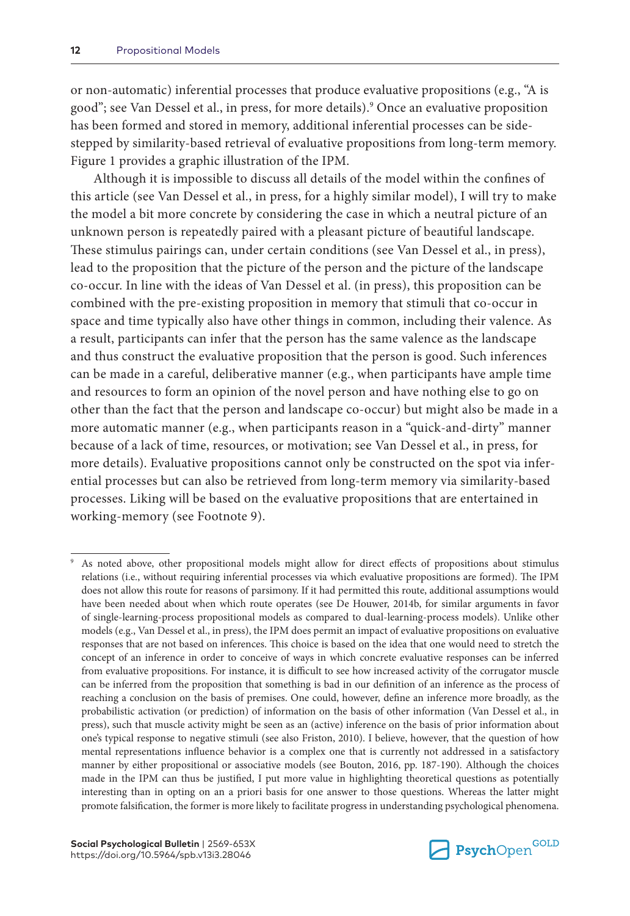or non-automatic) inferential processes that produce evaluative propositions (e.g., "A is good"; see Van Dessel et al., in press, for more details).9 Once an evaluative proposition has been formed and stored in memory, additional inferential processes can be sidestepped by similarity-based retrieval of evaluative propositions from long-term memory. Figure 1 provides a graphic illustration of the IPM.

Although it is impossible to discuss all details of the model within the confines of this article (see Van Dessel et al., in press, for a highly similar model), I will try to make the model a bit more concrete by considering the case in which a neutral picture of an unknown person is repeatedly paired with a pleasant picture of beautiful landscape. These stimulus pairings can, under certain conditions (see Van Dessel et al., in press), lead to the proposition that the picture of the person and the picture of the landscape co-occur. In line with the ideas of Van Dessel et al. (in press), this proposition can be combined with the pre-existing proposition in memory that stimuli that co-occur in space and time typically also have other things in common, including their valence. As a result, participants can infer that the person has the same valence as the landscape and thus construct the evaluative proposition that the person is good. Such inferences can be made in a careful, deliberative manner (e.g., when participants have ample time and resources to form an opinion of the novel person and have nothing else to go on other than the fact that the person and landscape co-occur) but might also be made in a more automatic manner (e.g., when participants reason in a "quick-and-dirty" manner because of a lack of time, resources, or motivation; see Van Dessel et al., in press, for more details). Evaluative propositions cannot only be constructed on the spot via inferential processes but can also be retrieved from long-term memory via similarity-based processes. Liking will be based on the evaluative propositions that are entertained in working-memory (see Footnote 9).



As noted above, other propositional models might allow for direct effects of propositions about stimulus relations (i.e., without requiring inferential processes via which evaluative propositions are formed). The IPM does not allow this route for reasons of parsimony. If it had permitted this route, additional assumptions would have been needed about when which route operates (see De Houwer, 2014b, for similar arguments in favor of single-learning-process propositional models as compared to dual-learning-process models). Unlike other models (e.g., Van Dessel et al., in press), the IPM does permit an impact of evaluative propositions on evaluative responses that are not based on inferences. This choice is based on the idea that one would need to stretch the concept of an inference in order to conceive of ways in which concrete evaluative responses can be inferred from evaluative propositions. For instance, it is difficult to see how increased activity of the corrugator muscle can be inferred from the proposition that something is bad in our definition of an inference as the process of reaching a conclusion on the basis of premises. One could, however, define an inference more broadly, as the probabilistic activation (or prediction) of information on the basis of other information (Van Dessel et al., in press), such that muscle activity might be seen as an (active) inference on the basis of prior information about one's typical response to negative stimuli (see also Friston, 2010). I believe, however, that the question of how mental representations influence behavior is a complex one that is currently not addressed in a satisfactory manner by either propositional or associative models (see Bouton, 2016, pp. 187-190). Although the choices made in the IPM can thus be justified, I put more value in highlighting theoretical questions as potentially interesting than in opting on an a priori basis for one answer to those questions. Whereas the latter might promote falsification, the former is more likely to facilitate progress in understanding psychological phenomena.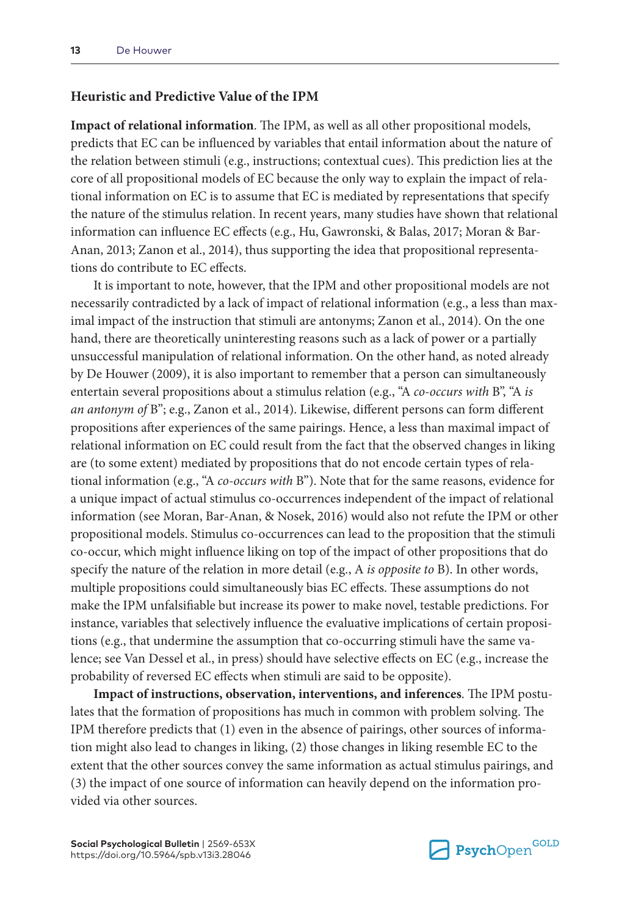#### **Heuristic and Predictive Value of the IPM**

**Impact of relational information**. The IPM, as well as all other propositional models, predicts that EC can be influenced by variables that entail information about the nature of the relation between stimuli (e.g., instructions; contextual cues). This prediction lies at the core of all propositional models of EC because the only way to explain the impact of relational information on EC is to assume that EC is mediated by representations that specify the nature of the stimulus relation. In recent years, many studies have shown that relational information can influence EC effects (e.g., Hu, Gawronski, & Balas, 2017; Moran & Bar-Anan, 2013; Zanon et al., 2014), thus supporting the idea that propositional representations do contribute to EC effects.

It is important to note, however, that the IPM and other propositional models are not necessarily contradicted by a lack of impact of relational information (e.g., a less than maximal impact of the instruction that stimuli are antonyms; Zanon et al., 2014). On the one hand, there are theoretically uninteresting reasons such as a lack of power or a partially unsuccessful manipulation of relational information. On the other hand, as noted already by De Houwer (2009), it is also important to remember that a person can simultaneously entertain several propositions about a stimulus relation (e.g., "A *co-occurs with* B", "A *is an antonym of* B"; e.g., Zanon et al., 2014). Likewise, different persons can form different propositions after experiences of the same pairings. Hence, a less than maximal impact of relational information on EC could result from the fact that the observed changes in liking are (to some extent) mediated by propositions that do not encode certain types of relational information (e.g., "A *co-occurs with* B"). Note that for the same reasons, evidence for a unique impact of actual stimulus co-occurrences independent of the impact of relational information (see Moran, Bar-Anan, & Nosek, 2016) would also not refute the IPM or other propositional models. Stimulus co-occurrences can lead to the proposition that the stimuli co-occur, which might influence liking on top of the impact of other propositions that do specify the nature of the relation in more detail (e.g., A *is opposite to* B). In other words, multiple propositions could simultaneously bias EC effects. These assumptions do not make the IPM unfalsifiable but increase its power to make novel, testable predictions. For instance, variables that selectively influence the evaluative implications of certain propositions (e.g., that undermine the assumption that co-occurring stimuli have the same valence; see Van Dessel et al., in press) should have selective effects on EC (e.g., increase the probability of reversed EC effects when stimuli are said to be opposite).

**Impact of instructions, observation, interventions, and inferences**. The IPM postulates that the formation of propositions has much in common with problem solving. The IPM therefore predicts that (1) even in the absence of pairings, other sources of information might also lead to changes in liking, (2) those changes in liking resemble EC to the extent that the other sources convey the same information as actual stimulus pairings, and (3) the impact of one source of information can heavily depend on the information provided via other sources.

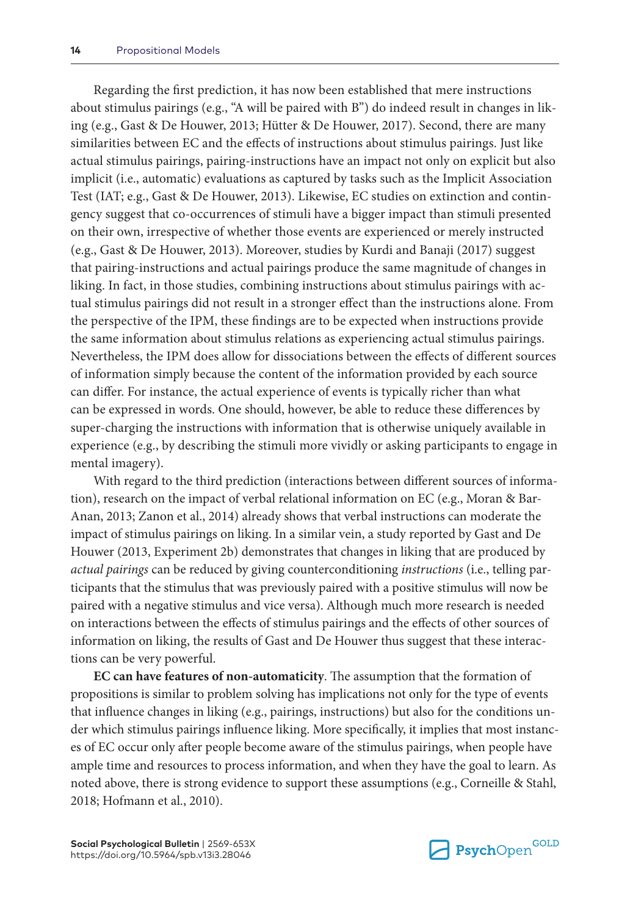Regarding the first prediction, it has now been established that mere instructions about stimulus pairings (e.g., "A will be paired with B") do indeed result in changes in liking (e.g., Gast & De Houwer, 2013; Hütter & De Houwer, 2017). Second, there are many similarities between EC and the effects of instructions about stimulus pairings. Just like actual stimulus pairings, pairing-instructions have an impact not only on explicit but also implicit (i.e., automatic) evaluations as captured by tasks such as the Implicit Association Test (IAT; e.g., Gast & De Houwer, 2013). Likewise, EC studies on extinction and contingency suggest that co-occurrences of stimuli have a bigger impact than stimuli presented on their own, irrespective of whether those events are experienced or merely instructed (e.g., Gast & De Houwer, 2013). Moreover, studies by Kurdi and Banaji (2017) suggest that pairing-instructions and actual pairings produce the same magnitude of changes in liking. In fact, in those studies, combining instructions about stimulus pairings with actual stimulus pairings did not result in a stronger effect than the instructions alone. From the perspective of the IPM, these findings are to be expected when instructions provide the same information about stimulus relations as experiencing actual stimulus pairings. Nevertheless, the IPM does allow for dissociations between the effects of different sources of information simply because the content of the information provided by each source can differ. For instance, the actual experience of events is typically richer than what can be expressed in words. One should, however, be able to reduce these differences by super-charging the instructions with information that is otherwise uniquely available in experience (e.g., by describing the stimuli more vividly or asking participants to engage in mental imagery).

With regard to the third prediction (interactions between different sources of information), research on the impact of verbal relational information on EC (e.g., Moran & Bar-Anan, 2013; Zanon et al., 2014) already shows that verbal instructions can moderate the impact of stimulus pairings on liking. In a similar vein, a study reported by Gast and De Houwer (2013, Experiment 2b) demonstrates that changes in liking that are produced by *actual pairings* can be reduced by giving counterconditioning *instructions* (i.e., telling participants that the stimulus that was previously paired with a positive stimulus will now be paired with a negative stimulus and vice versa). Although much more research is needed on interactions between the effects of stimulus pairings and the effects of other sources of information on liking, the results of Gast and De Houwer thus suggest that these interactions can be very powerful.

**EC can have features of non-automaticity**. The assumption that the formation of propositions is similar to problem solving has implications not only for the type of events that influence changes in liking (e.g., pairings, instructions) but also for the conditions under which stimulus pairings influence liking. More specifically, it implies that most instances of EC occur only after people become aware of the stimulus pairings, when people have ample time and resources to process information, and when they have the goal to learn. As noted above, there is strong evidence to support these assumptions (e.g., Corneille & Stahl, 2018; Hofmann et al., 2010).

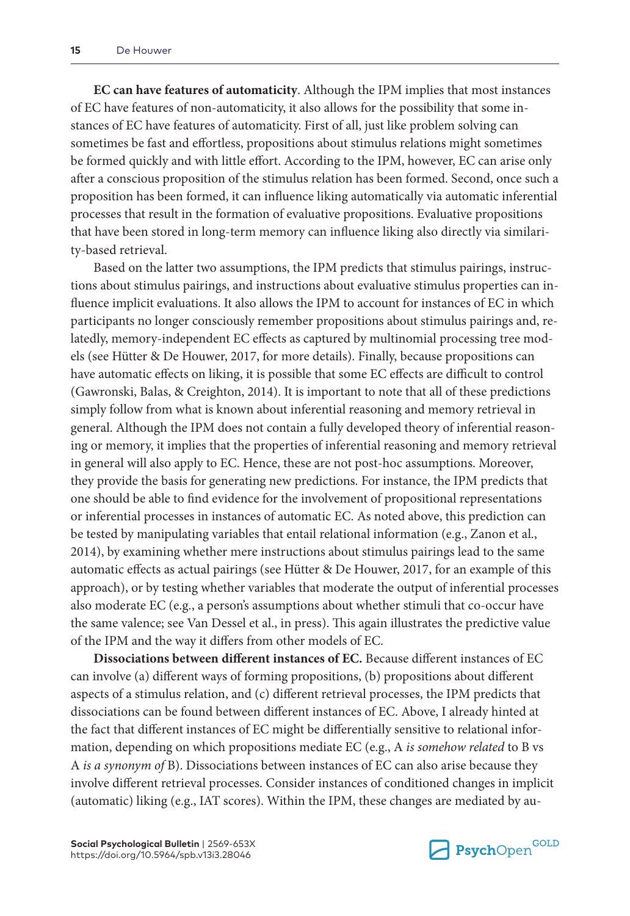**EC can have features of automaticity**. Although the IPM implies that most instances of EC have features of non-automaticity, it also allows for the possibility that some instances of EC have features of automaticity. First of all, just like problem solving can sometimes be fast and effortless, propositions about stimulus relations might sometimes be formed quickly and with little effort. According to the IPM, however, EC can arise only after a conscious proposition of the stimulus relation has been formed. Second, once such a proposition has been formed, it can influence liking automatically via automatic inferential processes that result in the formation of evaluative propositions. Evaluative propositions that have been stored in long-term memory can influence liking also directly via similarity-based retrieval.

Based on the latter two assumptions, the IPM predicts that stimulus pairings, instructions about stimulus pairings, and instructions about evaluative stimulus properties can influence implicit evaluations. It also allows the IPM to account for instances of EC in which participants no longer consciously remember propositions about stimulus pairings and, relatedly, memory-independent EC effects as captured by multinomial processing tree models (see Hütter & De Houwer, 2017, for more details). Finally, because propositions can have automatic effects on liking, it is possible that some EC effects are difficult to control (Gawronski, Balas, & Creighton, 2014). It is important to note that all of these predictions simply follow from what is known about inferential reasoning and memory retrieval in general. Although the IPM does not contain a fully developed theory of inferential reasoning or memory, it implies that the properties of inferential reasoning and memory retrieval in general will also apply to EC. Hence, these are not post-hoc assumptions. Moreover, they provide the basis for generating new predictions. For instance, the IPM predicts that one should be able to find evidence for the involvement of propositional representations or inferential processes in instances of automatic EC. As noted above, this prediction can be tested by manipulating variables that entail relational information (e.g., Zanon et al., 2014), by examining whether mere instructions about stimulus pairings lead to the same automatic effects as actual pairings (see Hütter & De Houwer, 2017, for an example of this approach), or by testing whether variables that moderate the output of inferential processes also moderate EC (e.g., a person's assumptions about whether stimuli that co-occur have the same valence; see Van Dessel et al., in press). This again illustrates the predictive value of the IPM and the way it differs from other models of EC.

**Dissociations between different instances of EC.** Because different instances of EC can involve (a) different ways of forming propositions, (b) propositions about different aspects of a stimulus relation, and (c) different retrieval processes, the IPM predicts that dissociations can be found between different instances of EC. Above, I already hinted at the fact that different instances of EC might be differentially sensitive to relational information, depending on which propositions mediate EC (e.g., A *is somehow related* to B vs A *is a synonym of* B). Dissociations between instances of EC can also arise because they involve different retrieval processes. Consider instances of conditioned changes in implicit (automatic) liking (e.g., IAT scores). Within the IPM, these changes are mediated by au-

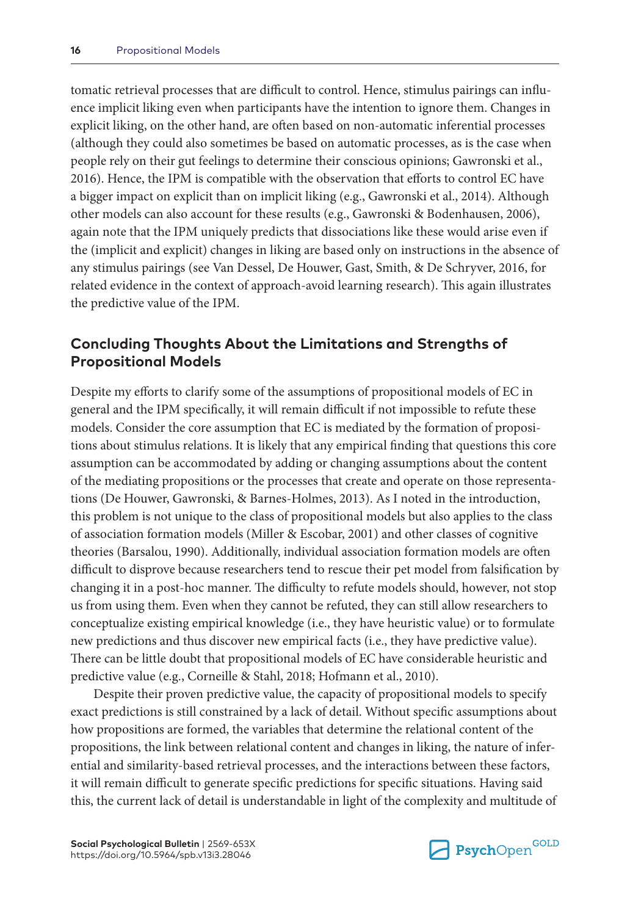tomatic retrieval processes that are difficult to control. Hence, stimulus pairings can influence implicit liking even when participants have the intention to ignore them. Changes in explicit liking, on the other hand, are often based on non-automatic inferential processes (although they could also sometimes be based on automatic processes, as is the case when people rely on their gut feelings to determine their conscious opinions; Gawronski et al., 2016). Hence, the IPM is compatible with the observation that efforts to control EC have a bigger impact on explicit than on implicit liking (e.g., Gawronski et al., 2014). Although other models can also account for these results (e.g., Gawronski & Bodenhausen, 2006), again note that the IPM uniquely predicts that dissociations like these would arise even if the (implicit and explicit) changes in liking are based only on instructions in the absence of any stimulus pairings (see Van Dessel, De Houwer, Gast, Smith, & De Schryver, 2016, for related evidence in the context of approach-avoid learning research). This again illustrates the predictive value of the IPM.

## **Concluding Thoughts About the Limitations and Strengths of Propositional Models**

Despite my efforts to clarify some of the assumptions of propositional models of EC in general and the IPM specifically, it will remain difficult if not impossible to refute these models. Consider the core assumption that EC is mediated by the formation of propositions about stimulus relations. It is likely that any empirical finding that questions this core assumption can be accommodated by adding or changing assumptions about the content of the mediating propositions or the processes that create and operate on those representations (De Houwer, Gawronski, & Barnes-Holmes, 2013). As I noted in the introduction, this problem is not unique to the class of propositional models but also applies to the class of association formation models (Miller & Escobar, 2001) and other classes of cognitive theories (Barsalou, 1990). Additionally, individual association formation models are often difficult to disprove because researchers tend to rescue their pet model from falsification by changing it in a post-hoc manner. The difficulty to refute models should, however, not stop us from using them. Even when they cannot be refuted, they can still allow researchers to conceptualize existing empirical knowledge (i.e., they have heuristic value) or to formulate new predictions and thus discover new empirical facts (i.e., they have predictive value). There can be little doubt that propositional models of EC have considerable heuristic and predictive value (e.g., Corneille & Stahl, 2018; Hofmann et al., 2010).

Despite their proven predictive value, the capacity of propositional models to specify exact predictions is still constrained by a lack of detail. Without specific assumptions about how propositions are formed, the variables that determine the relational content of the propositions, the link between relational content and changes in liking, the nature of inferential and similarity-based retrieval processes, and the interactions between these factors, it will remain difficult to generate specific predictions for specific situations. Having said this, the current lack of detail is understandable in light of the complexity and multitude of

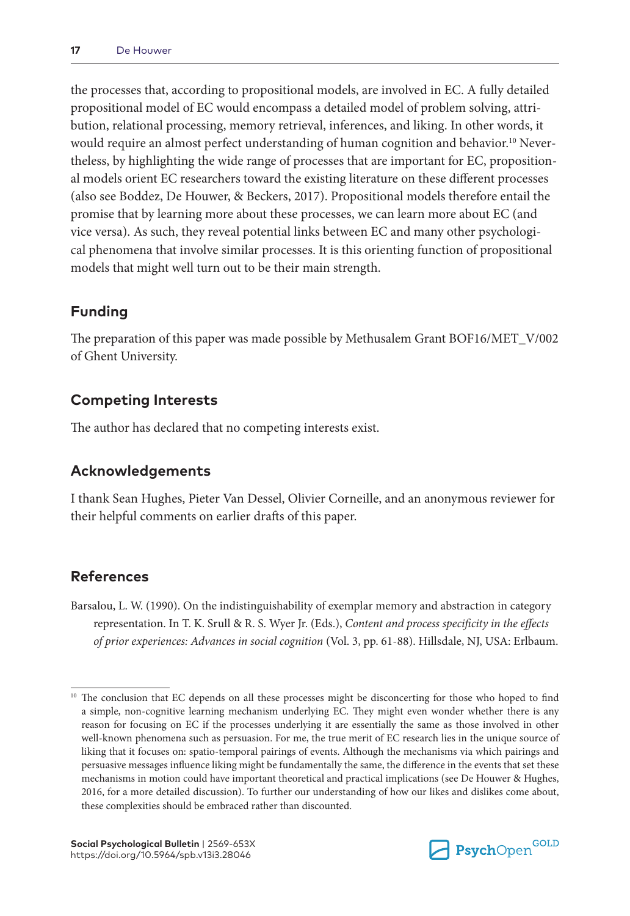the processes that, according to propositional models, are involved in EC. A fully detailed propositional model of EC would encompass a detailed model of problem solving, attribution, relational processing, memory retrieval, inferences, and liking. In other words, it would require an almost perfect understanding of human cognition and behavior.<sup>10</sup> Nevertheless, by highlighting the wide range of processes that are important for EC, propositional models orient EC researchers toward the existing literature on these different processes (also see Boddez, De Houwer, & Beckers, 2017). Propositional models therefore entail the promise that by learning more about these processes, we can learn more about EC (and vice versa). As such, they reveal potential links between EC and many other psychological phenomena that involve similar processes. It is this orienting function of propositional models that might well turn out to be their main strength.

## **Funding**

The preparation of this paper was made possible by Methusalem Grant BOF16/MET\_V/002 of Ghent University.

## **Competing Interests**

The author has declared that no competing interests exist.

## **Acknowledgements**

I thank Sean Hughes, Pieter Van Dessel, Olivier Corneille, and an anonymous reviewer for their helpful comments on earlier drafts of this paper.

## **References**

Barsalou, L. W. (1990). On the indistinguishability of exemplar memory and abstraction in category representation. In T. K. Srull & R. S. Wyer Jr. (Eds.), *Content and process specificity in the effects of prior experiences: Advances in social cognition* (Vol. 3, pp. 61-88). Hillsdale, NJ, USA: Erlbaum.



<sup>&</sup>lt;sup>10</sup> The conclusion that EC depends on all these processes might be disconcerting for those who hoped to find a simple, non-cognitive learning mechanism underlying EC. They might even wonder whether there is any reason for focusing on EC if the processes underlying it are essentially the same as those involved in other well-known phenomena such as persuasion. For me, the true merit of EC research lies in the unique source of liking that it focuses on: spatio-temporal pairings of events. Although the mechanisms via which pairings and persuasive messages influence liking might be fundamentally the same, the difference in the events that set these mechanisms in motion could have important theoretical and practical implications (see De Houwer & Hughes, 2016, for a more detailed discussion). To further our understanding of how our likes and dislikes come about, these complexities should be embraced rather than discounted.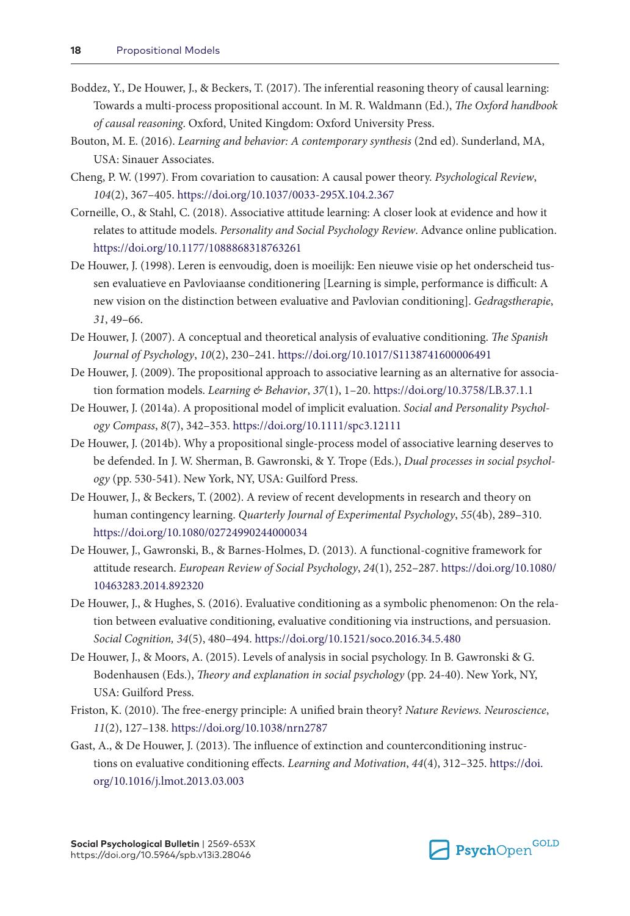- Boddez, Y., De Houwer, J., & Beckers, T. (2017). The inferential reasoning theory of causal learning: Towards a multi-process propositional account. In M. R. Waldmann (Ed.), *The Oxford handbook of causal reasoning*. Oxford, United Kingdom: Oxford University Press.
- Bouton, M. E. (2016). *Learning and behavior: A contemporary synthesis* (2nd ed). Sunderland, MA, USA: Sinauer Associates.
- Cheng, P. W. (1997). From covariation to causation: A causal power theory. *Psychological Review*, *104*(2), 367–405. <https://doi.org/10.1037/0033-295X.104.2.367>
- Corneille, O., & Stahl, C. (2018). Associative attitude learning: A closer look at evidence and how it relates to attitude models. *Personality and Social Psychology Review*. Advance online publication. <https://doi.org/10.1177/1088868318763261>
- De Houwer, J. (1998). Leren is eenvoudig, doen is moeilijk: Een nieuwe visie op het onderscheid tussen evaluatieve en Pavloviaanse conditionering [Learning is simple, performance is difficult: A new vision on the distinction between evaluative and Pavlovian conditioning]. *Gedragstherapie*, *31*, 49–66.
- De Houwer, J. (2007). A conceptual and theoretical analysis of evaluative conditioning. *The Spanish Journal of Psychology*, *10*(2), 230–241.<https://doi.org/10.1017/S1138741600006491>
- De Houwer, J. (2009). The propositional approach to associative learning as an alternative for association formation models. *Learning & Behavior*, *37*(1), 1–20.<https://doi.org/10.3758/LB.37.1.1>
- De Houwer, J. (2014a). A propositional model of implicit evaluation. *Social and Personality Psychology Compass*, *8*(7), 342–353. <https://doi.org/10.1111/spc3.12111>
- De Houwer, J. (2014b). Why a propositional single-process model of associative learning deserves to be defended. In J. W. Sherman, B. Gawronski, & Y. Trope (Eds.), *Dual processes in social psychology* (pp. 530-541). New York, NY, USA: Guilford Press.
- De Houwer, J., & Beckers, T. (2002). A review of recent developments in research and theory on human contingency learning. *Quarterly Journal of Experimental Psychology*, *55*(4b), 289–310. <https://doi.org/10.1080/02724990244000034>
- De Houwer, J., Gawronski, B., & Barnes-Holmes, D. (2013). A functional-cognitive framework for attitude research. *European Review of Social Psychology*, *24*(1), 252–287. [https://doi.org/10.1080/](https://doi.org/10.1080/10463283.2014.892320) [10463283.2014.892320](https://doi.org/10.1080/10463283.2014.892320)
- De Houwer, J., & Hughes, S. (2016). Evaluative conditioning as a symbolic phenomenon: On the relation between evaluative conditioning, evaluative conditioning via instructions, and persuasion. *Social Cognition, 34*(5), 480–494.<https://doi.org/10.1521/soco.2016.34.5.480>
- De Houwer, J., & Moors, A. (2015). Levels of analysis in social psychology. In B. Gawronski & G. Bodenhausen (Eds.), *Theory and explanation in social psychology* (pp. 24-40). New York, NY, USA: Guilford Press.
- Friston, K. (2010). The free-energy principle: A unified brain theory? *Nature Reviews. Neuroscience*, *11*(2), 127–138.<https://doi.org/10.1038/nrn2787>
- Gast, A., & De Houwer, J. (2013). The influence of extinction and counterconditioning instructions on evaluative conditioning effects. *Learning and Motivation*, *44*(4), 312–325. [https://doi.](https://doi.org/10.1016/j.lmot.2013.03.003) [org/10.1016/j.lmot.2013.03.003](https://doi.org/10.1016/j.lmot.2013.03.003)

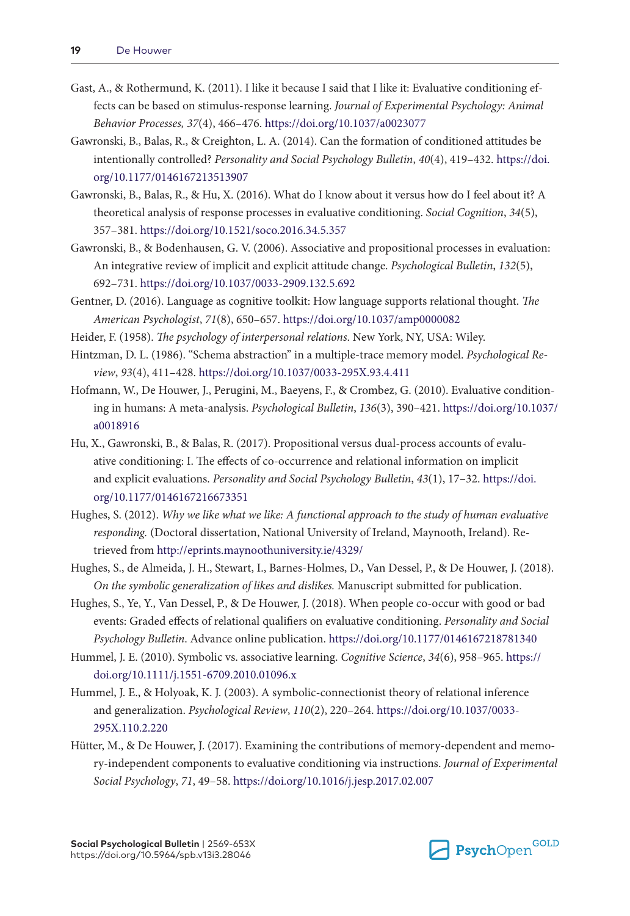- Gast, A., & Rothermund, K. (2011). I like it because I said that I like it: Evaluative conditioning effects can be based on stimulus-response learning. *Journal of Experimental Psychology: Animal Behavior Processes, 37*(4), 466–476. <https://doi.org/10.1037/a0023077>
- Gawronski, B., Balas, R., & Creighton, L. A. (2014). Can the formation of conditioned attitudes be intentionally controlled? *Personality and Social Psychology Bulletin*, *40*(4), 419–432. [https://doi.](https://doi.org/10.1177/0146167213513907) [org/10.1177/0146167213513907](https://doi.org/10.1177/0146167213513907)
- Gawronski, B., Balas, R., & Hu, X. (2016). What do I know about it versus how do I feel about it? A theoretical analysis of response processes in evaluative conditioning. *Social Cognition*, *34*(5), 357–381.<https://doi.org/10.1521/soco.2016.34.5.357>
- Gawronski, B., & Bodenhausen, G. V. (2006). Associative and propositional processes in evaluation: An integrative review of implicit and explicit attitude change. *Psychological Bulletin*, *132*(5), 692–731.<https://doi.org/10.1037/0033-2909.132.5.692>
- Gentner, D. (2016). Language as cognitive toolkit: How language supports relational thought. *The American Psychologist*, *71*(8), 650–657.<https://doi.org/10.1037/amp0000082>
- Heider, F. (1958). *The psychology of interpersonal relations*. New York, NY, USA: Wiley.
- Hintzman, D. L. (1986). "Schema abstraction" in a multiple-trace memory model. *Psychological Review*, *93*(4), 411–428. <https://doi.org/10.1037/0033-295X.93.4.411>
- Hofmann, W., De Houwer, J., Perugini, M., Baeyens, F., & Crombez, G. (2010). Evaluative conditioning in humans: A meta-analysis. *Psychological Bulletin*, *136*(3), 390–421. [https://doi.org/10.1037/](https://doi.org/10.1037/a0018916) [a0018916](https://doi.org/10.1037/a0018916)
- Hu, X., Gawronski, B., & Balas, R. (2017). Propositional versus dual-process accounts of evaluative conditioning: I. The effects of co-occurrence and relational information on implicit and explicit evaluations. *Personality and Social Psychology Bulletin*, *43*(1), 17–32. [https://doi.](https://doi.org/10.1177/0146167216673351) [org/10.1177/0146167216673351](https://doi.org/10.1177/0146167216673351)
- Hughes, S. (2012). *Why we like what we like: A functional approach to the study of human evaluative responding.* (Doctoral dissertation, National University of Ireland, Maynooth, Ireland). Retrieved from <http://eprints.maynoothuniversity.ie/4329/>
- Hughes, S., de Almeida, J. H., Stewart, I., Barnes-Holmes, D., Van Dessel, P., & De Houwer, J. (2018). *On the symbolic generalization of likes and dislikes.* Manuscript submitted for publication.
- Hughes, S., Ye, Y., Van Dessel, P., & De Houwer, J. (2018). When people co-occur with good or bad events: Graded effects of relational qualifiers on evaluative conditioning. *Personality and Social Psychology Bulletin*. Advance online publication.<https://doi.org/10.1177/0146167218781340>
- Hummel, J. E. (2010). Symbolic vs. associative learning. *Cognitive Science*, *34*(6), 958–965. [https://](https://doi.org/10.1111/j.1551-6709.2010.01096.x) [doi.org/10.1111/j.1551-6709.2010.01096.x](https://doi.org/10.1111/j.1551-6709.2010.01096.x)
- Hummel, J. E., & Holyoak, K. J. (2003). A symbolic-connectionist theory of relational inference and generalization. *Psychological Review*, *110*(2), 220–264. [https://doi.org/10.1037/0033-](https://doi.org/10.1037/0033-295X.110.2.220) [295X.110.2.220](https://doi.org/10.1037/0033-295X.110.2.220)
- Hütter, M., & De Houwer, J. (2017). Examining the contributions of memory-dependent and memory-independent components to evaluative conditioning via instructions. *Journal of Experimental Social Psychology*, *71*, 49–58.<https://doi.org/10.1016/j.jesp.2017.02.007>

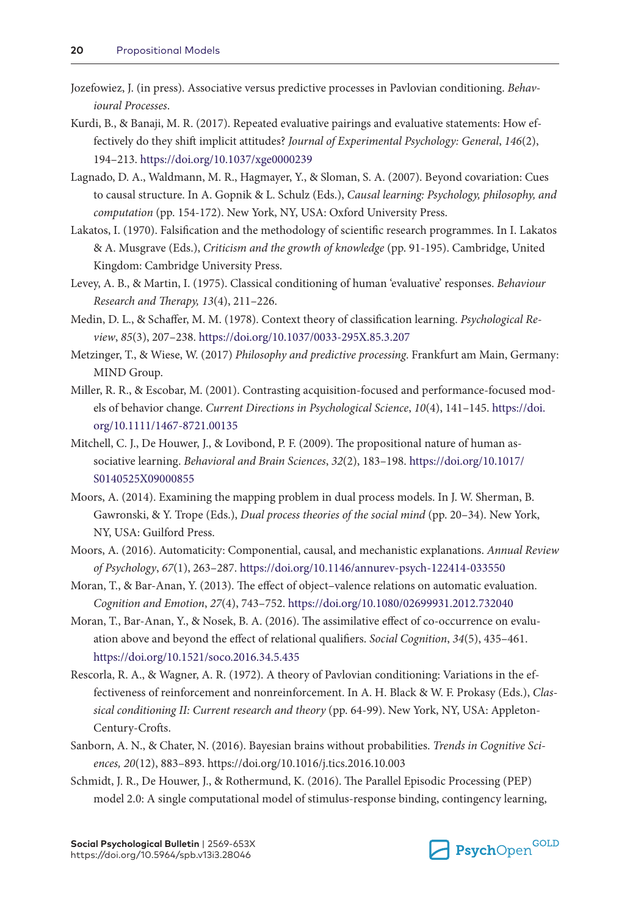- Jozefowiez, J. (in press). Associative versus predictive processes in Pavlovian conditioning. *Behavioural Processes*.
- Kurdi, B., & Banaji, M. R. (2017). Repeated evaluative pairings and evaluative statements: How effectively do they shift implicit attitudes? *Journal of Experimental Psychology: General*, *146*(2), 194–213.<https://doi.org/10.1037/xge0000239>
- Lagnado, D. A., Waldmann, M. R., Hagmayer, Y., & Sloman, S. A. (2007). Beyond covariation: Cues to causal structure. In A. Gopnik & L. Schulz (Eds.), *Causal learning: Psychology, philosophy, and computation* (pp. 154-172). New York, NY, USA: Oxford University Press.
- Lakatos, I. (1970). Falsification and the methodology of scientific research programmes. In I. Lakatos & A. Musgrave (Eds.), *Criticism and the growth of knowledge* (pp. 91-195). Cambridge, United Kingdom: Cambridge University Press.
- Levey, A. B., & Martin, I. (1975). Classical conditioning of human 'evaluative' responses. *Behaviour Research and Therapy, 13*(4), 211–226.
- Medin, D. L., & Schaffer, M. M. (1978). Context theory of classification learning. *Psychological Review*, *85*(3), 207–238. <https://doi.org/10.1037/0033-295X.85.3.207>
- Metzinger, T., & Wiese, W. (2017) *Philosophy and predictive processing*. Frankfurt am Main, Germany: MIND Group.
- Miller, R. R., & Escobar, M. (2001). Contrasting acquisition-focused and performance-focused models of behavior change. *Current Directions in Psychological Science*, *10*(4), 141–145. [https://doi.](https://doi.org/10.1111/1467-8721.00135) [org/10.1111/1467-8721.00135](https://doi.org/10.1111/1467-8721.00135)
- Mitchell, C. J., De Houwer, J., & Lovibond, P. F. (2009). The propositional nature of human associative learning. *Behavioral and Brain Sciences*, *32*(2), 183–198. [https://doi.org/10.1017/](https://doi.org/10.1017/S0140525X09000855) [S0140525X09000855](https://doi.org/10.1017/S0140525X09000855)
- Moors, A. (2014). Examining the mapping problem in dual process models. In J. W. Sherman, B. Gawronski, & Y. Trope (Eds.), *Dual process theories of the social mind* (pp. 20–34). New York, NY, USA: Guilford Press.
- Moors, A. (2016). Automaticity: Componential, causal, and mechanistic explanations. *Annual Review of Psychology*, *67*(1), 263–287.<https://doi.org/10.1146/annurev-psych-122414-033550>
- Moran, T., & Bar-Anan, Y. (2013). The effect of object–valence relations on automatic evaluation. *Cognition and Emotion*, *27*(4), 743–752.<https://doi.org/10.1080/02699931.2012.732040>
- Moran, T., Bar-Anan, Y., & Nosek, B. A. (2016). The assimilative effect of co-occurrence on evaluation above and beyond the effect of relational qualifiers. *Social Cognition*, *34*(5), 435–461. <https://doi.org/10.1521/soco.2016.34.5.435>
- Rescorla, R. A., & Wagner, A. R. (1972). A theory of Pavlovian conditioning: Variations in the effectiveness of reinforcement and nonreinforcement. In A. H. Black & W. F. Prokasy (Eds.), *Classical conditioning II: Current research and theory* (pp. 64-99). New York, NY, USA: Appleton-Century-Crofts.
- Sanborn, A. N., & Chater, N. (2016). Bayesian brains without probabilities. *Trends in Cognitive Sciences, 20*(12), 883–893.<https://doi.org/10.1016/j.tics.2016.10.003>
- Schmidt, J. R., De Houwer, J., & Rothermund, K. (2016). The Parallel Episodic Processing (PEP) model 2.0: A single computational model of stimulus-response binding, contingency learning,